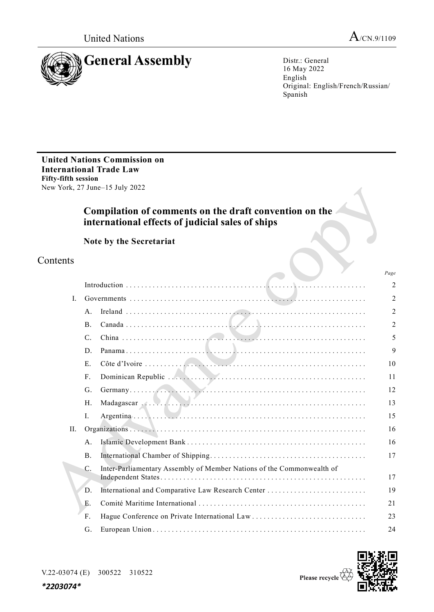*Page*



16 May 2022 English Original: English/French/Russian/ Spanish

**United Nations Commission on International Trade Law Fifty-fifth session** New York, 27 June–15 July 2022

# **Compilation of comments on the draft convention on the international effects of judicial sales of ships**

**Note by the Secretariat**

# Contents

|    |                 |                                                                       | 1 uge          |
|----|-----------------|-----------------------------------------------------------------------|----------------|
|    |                 |                                                                       | $\overline{2}$ |
| I. |                 |                                                                       | 2              |
|    | A <sub>1</sub>  |                                                                       | $\overline{2}$ |
|    | <b>B</b> .      |                                                                       | 2              |
|    | $\mathcal{C}$ . |                                                                       | 5              |
|    | D.              |                                                                       | 9              |
|    | E.              |                                                                       | 10             |
|    | $F_{\cdot}$     |                                                                       | 11             |
|    | G.              |                                                                       | 12             |
|    | H.              | Madagascar (Albert 1996)                                              | 13             |
|    | I.              |                                                                       | 15             |
| H. |                 |                                                                       | 16             |
|    | A.              |                                                                       | 16             |
|    | B.              |                                                                       | 17             |
|    | $\mathcal{C}$ . | Inter-Parliamentary Assembly of Member Nations of the Commonwealth of |                |
|    |                 |                                                                       | 17             |
|    | D.              |                                                                       | 19             |
|    | Е.              |                                                                       | 21             |
|    | F.              |                                                                       | 23             |
|    | G.              |                                                                       | 24             |



*\*2203074\**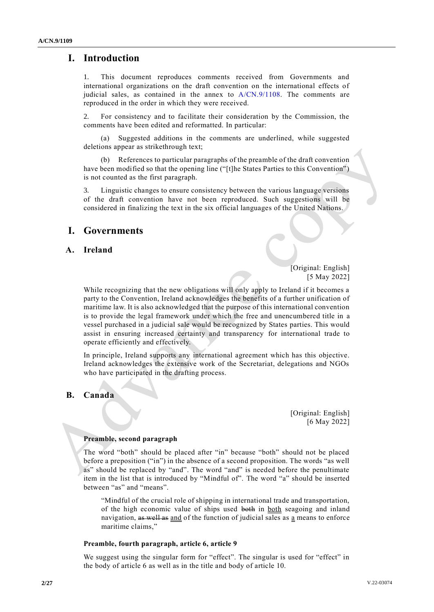# **I. Introduction**

1. This document reproduces comments received from Governments and international organizations on the draft convention on the international effects of judicial sales, as contained in the annex to  $A/CN.9/1108$ . The comments are reproduced in the order in which they were received.

2. For consistency and to facilitate their consideration by the Commission, the comments have been edited and reformatted. In particular:

(a) Suggested additions in the comments are underlined, while suggested deletions appear as strikethrough text;

(b) References to particular paragraphs of the preamble of the draft convention have been modified so that the opening line ("[t]he States Parties to this Convention") is not counted as the first paragraph.

3. Linguistic changes to ensure consistency between the various language versions of the draft convention have not been reproduced. Such suggestions will be considered in finalizing the text in the six official languages of the United Nations.

## **I. Governments**

## **A. Ireland**

[Original: English] [5 May 2022]

While recognizing that the new obligations will only apply to Ireland if it becomes a party to the Convention, Ireland acknowledges the benefits of a further unification of maritime law. It is also acknowledged that the purpose of this international convention is to provide the legal framework under which the free and unencumbered title in a vessel purchased in a judicial sale would be recognized by States parties. This would assist in ensuring increased certainty and transparency for international trade to operate efficiently and effectively.

In principle, Ireland supports any international agreement which has this objective. Ireland acknowledges the extensive work of the Secretariat, delegations and NGOs who have participated in the drafting process.

## **B. Canada**

[Original: English] [6 May 2022]

## **Preamble, second paragraph**

The word "both" should be placed after "in" because "both" should not be placed before a preposition ("in") in the absence of a second proposition. The words "as well as" should be replaced by "and". The word "and" is needed before the penultimate item in the list that is introduced by "Mindful of". The word "a" should be inserted between "as" and "means".

"Mindful of the crucial role of shipping in international trade and transportation, of the high economic value of ships used both in both seagoing and inland navigation, as well as and of the function of judicial sales as a means to enforce maritime claims,"

#### **Preamble, fourth paragraph, article 6, article 9**

We suggest using the singular form for "effect". The singular is used for "effect" in the body of article 6 as well as in the title and body of article 10.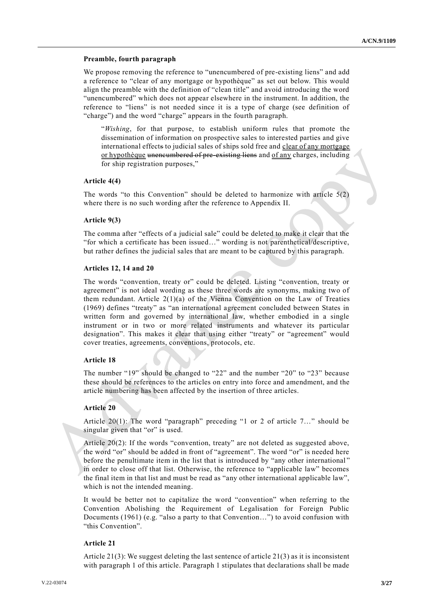#### **Preamble, fourth paragraph**

We propose removing the reference to "unencumbered of pre-existing liens" and add a reference to "clear of any mortgage or hypothèque" as set out below. This would align the preamble with the definition of "clean title" and avoid introducing the word "unencumbered" which does not appear elsewhere in the instrument. In addition, the reference to "liens" is not needed since it is a type of charge (see definition of "charge") and the word "charge" appears in the fourth paragraph.

"*Wishing*, for that purpose, to establish uniform rules that promote the dissemination of information on prospective sales to interested parties and give international effects to judicial sales of ships sold free and clear of any mortgage or hypothèque unencumbered of pre-existing liens and of any charges, including for ship registration purposes,"

#### **Article 4(4)**

The words "to this Convention" should be deleted to harmonize with article  $5(2)$ where there is no such wording after the reference to Appendix II.

## **Article 9(3)**

The comma after "effects of a judicial sale" could be deleted to make it clear that the "for which a certificate has been issued…" wording is not parenthetical/descriptive, but rather defines the judicial sales that are meant to be captured by this paragraph.

### **Articles 12, 14 and 20**

The words "convention, treaty or" could be deleted. Listing "convention, treaty or agreement" is not ideal wording as these three words are synonyms, making two of them redundant. Article  $2(1)(a)$  of the Vienna Convention on the Law of Treaties (1969) defines "treaty" as "an international agreement concluded between States in written form and governed by international law, whether embodied in a single instrument or in two or more related instruments and whatever its particular designation". This makes it clear that using either "treaty" or "agreement" would cover treaties, agreements, conventions, protocols, etc.

#### **Article 18**

The number "19" should be changed to "22" and the number "20" to "23" because these should be references to the articles on entry into force and amendment, and the article numbering has been affected by the insertion of three articles.

#### **Article 20**

Article 20(1): The word "paragraph" preceding "1 or 2 of article 7…" should be singular given that "or" is used.

Article 20(2): If the words "convention, treaty" are not deleted as suggested above, the word "or" should be added in front of "agreement". The word "or" is needed here before the penultimate item in the list that is introduced by "any other international " in order to close off that list. Otherwise, the reference to "applicable law" becomes the final item in that list and must be read as "any other international applicable law", which is not the intended meaning.

It would be better not to capitalize the word "convention" when referring to the Convention Abolishing the Requirement of Legalisation for Foreign Public Documents (1961) (e.g. "also a party to that Convention…") to avoid confusion with "this Convention".

### **Article 21**

Article  $21(3)$ : We suggest deleting the last sentence of article  $21(3)$  as it is inconsistent with paragraph 1 of this article. Paragraph 1 stipulates that declarations shall be made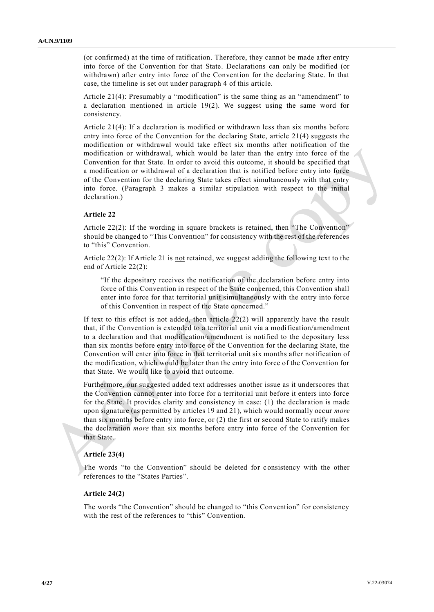(or confirmed) at the time of ratification. Therefore, they cannot be made after entry into force of the Convention for that State. Declarations can only be modified (or withdrawn) after entry into force of the Convention for the declaring State. In that case, the timeline is set out under paragraph 4 of this article.

Article 21(4): Presumably a "modification" is the same thing as an "amendment" to a declaration mentioned in article 19(2). We suggest using the same word for consistency.

Article 21(4): If a declaration is modified or withdrawn less than six months before entry into force of the Convention for the declaring State, article 21(4) suggests the modification or withdrawal would take effect six months after notification of the modification or withdrawal, which would be later than the entry into force of the Convention for that State. In order to avoid this outcome, it should be specified that a modification or withdrawal of a declaration that is notified before entry into force of the Convention for the declaring State takes effect simultaneously with that entry into force. (Paragraph 3 makes a similar stipulation with respect to the initial declaration.)

## **Article 22**

Article 22(2): If the wording in square brackets is retained, then "The Convention" should be changed to "This Convention" for consistency with the rest of the references to "this" Convention.

Article 22(2): If Article 21 is not retained, we suggest adding the following text to the end of Article 22(2):

"If the depositary receives the notification of the declaration before entry into force of this Convention in respect of the State concerned, this Convention shall enter into force for that territorial unit simultaneously with the entry into force of this Convention in respect of the State concerned."

If text to this effect is not added, then article  $22(2)$  will apparently have the result that, if the Convention is extended to a territorial unit via a modification/amendment to a declaration and that modification/amendment is notified to the depositary less than six months before entry into force of the Convention for the declaring State, the Convention will enter into force in that territorial unit six months after notification of the modification, which would be later than the entry into force of the Convention for that State. We would like to avoid that outcome.

Furthermore, our suggested added text addresses another issue as it underscores that the Convention cannot enter into force for a territorial unit before it enters into force for the State. It provides clarity and consistency in case: (1) the declaration is made upon signature (as permitted by articles 19 and 21), which would normally occur *more* than six months before entry into force, or (2) the first or second State to ratify makes the declaration *more* than six months before entry into force of the Convention for that State.

## **Article 23(4)**

The words "to the Convention" should be deleted for consistency with the other references to the "States Parties".

## **Article 24(2)**

The words "the Convention" should be changed to "this Convention" for consistency with the rest of the references to "this" Convention.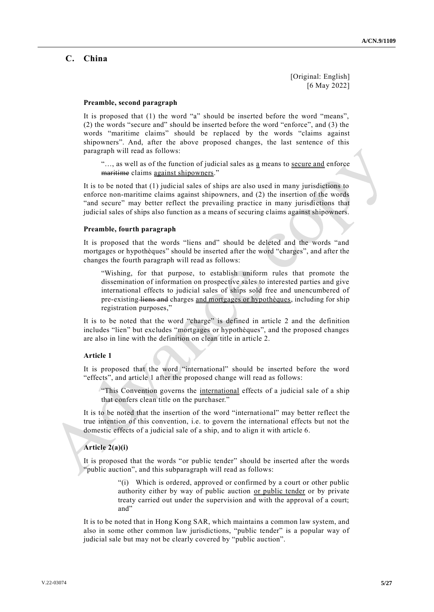[Original: English] [6 May 2022]

#### **Preamble, second paragraph**

It is proposed that (1) the word "a" should be inserted before the word "means", (2) the words "secure and" should be inserted before the word "enforce", and (3) the words "maritime claims" should be replaced by the words "claims against shipowners". And, after the above proposed changes, the last sentence of this paragraph will read as follows:

"..., as well as of the function of judicial sales as a means to secure and enforce maritime claims against shipowners."

It is to be noted that (1) judicial sales of ships are also used in many jurisdictions to enforce non-maritime claims against shipowners, and (2) the insertion of the words "and secure" may better reflect the prevailing practice in many jurisdictions that judicial sales of ships also function as a means of securing claims against shipowners.

## **Preamble, fourth paragraph**

It is proposed that the words "liens and" should be deleted and the words "and mortgages or hypothèques" should be inserted after the word "charges", and after the changes the fourth paragraph will read as follows:

"Wishing, for that purpose, to establish uniform rules that promote the dissemination of information on prospective sales to interested parties and give international effects to judicial sales of ships sold free and unencumbered of pre-existing liens and charges and mortgages or hypothèques, including for ship registration purposes,"

It is to be noted that the word "charge" is defined in article 2 and the definition includes "lien" but excludes "mortgages or hypothèques", and the proposed changes are also in line with the definition on clean title in article 2.

## **Article 1**

It is proposed that the word "international" should be inserted before the word "effects", and article 1 after the proposed change will read as follows:

"This Convention governs the international effects of a judicial sale of a ship that confers clean title on the purchaser."

It is to be noted that the insertion of the word "international" may better reflect the true intention of this convention, i.e. to govern the international effects but not the domestic effects of a judicial sale of a ship, and to align it with article 6.

#### **Article 2(a)(i)**

It is proposed that the words "or public tender" should be inserted after the words "public auction", and this subparagraph will read as follows:

> "(i) Which is ordered, approved or confirmed by a court or other public authority either by way of public auction or public tender or by private treaty carried out under the supervision and with the approval of a court; and"

It is to be noted that in Hong Kong SAR, which maintains a common law system, and also in some other common law jurisdictions, "public tender" is a popular way of judicial sale but may not be clearly covered by "public auction".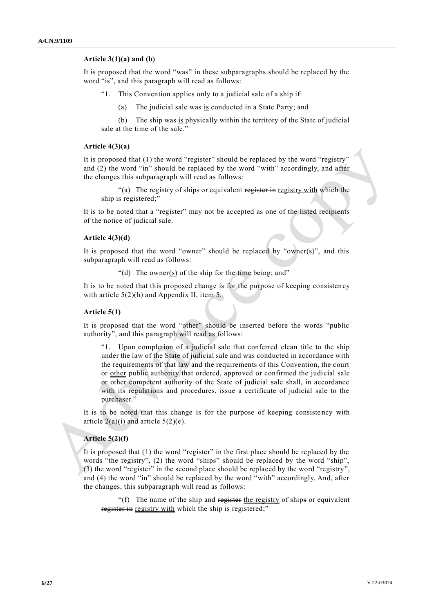## **Article 3(1)(a) and (b)**

It is proposed that the word "was" in these subparagraphs should be replaced by the word "is", and this paragraph will read as follows:

- "1. This Convention applies only to a judicial sale of a ship if:
	- (a) The judicial sale  $\frac{1}{12}$  conducted in a State Party; and

(b) The ship was is physically within the territory of the State of judicial sale at the time of the sale."

## **Article 4(3)(a)**

It is proposed that (1) the word "register" should be replaced by the word "registry" and (2) the word "in" should be replaced by the word "with" accordingly, and after the changes this subparagraph will read as follows:

"(a) The registry of ships or equivalent register in registry with which the ship is registered;"

It is to be noted that a "register" may not be accepted as one of the listed recipients of the notice of judicial sale.

## **Article 4(3)(d)**

It is proposed that the word "owner" should be replaced by "owner(s)", and this subparagraph will read as follows:

"(d) The owner(s) of the ship for the time being; and"

It is to be noted that this proposed change is for the purpose of keeping consistency with article  $5(2)(h)$  and Appendix II, item 5.

#### **Article 5(1)**

It is proposed that the word "other" should be inserted before the words "public authority", and this paragraph will read as follows:

"1. Upon completion of a judicial sale that conferred clean title to the ship under the law of the State of judicial sale and was conducted in accordance with the requirements of that law and the requirements of this Convention, the court or other public authority that ordered, approved or confirmed the judicial sale or other competent authority of the State of judicial sale shall, in accordance with its regulations and procedures, issue a certificate of judicial sale to the purchaser."

It is to be noted that this change is for the purpose of keeping consiste ncy with article  $2(a)(i)$  and article  $5(2)(e)$ .

#### **Article 5(2)(f)**

It is proposed that (1) the word "register" in the first place should be replaced by the words "the registry", (2) the word "ships" should be replaced by the word "ship", (3) the word "register" in the second place should be replaced by the word "registry", and (4) the word "in" should be replaced by the word "with" accordingly. And, after the changes, this subparagraph will read as follows:

"(f) The name of the ship and register the registry of ships or equivalent register in registry with which the ship is registered;"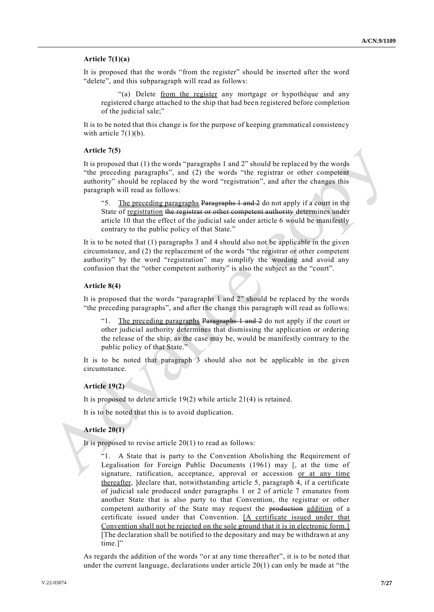## **Article 7(1)(a)**

It is proposed that the words "from the register" should be inserted after the word "delete", and this subparagraph will read as follows:

"(a) Delete from the register any mortgage or hypothèque and any registered charge attached to the ship that had been registered before completion of the judicial sale;"

It is to be noted that this change is for the purpose of keeping grammatical consistency with article  $7(1)(b)$ .

### **Article 7(5)**

It is proposed that (1) the words "paragraphs 1 and 2" should be replaced by the words "the preceding paragraphs", and (2) the words "the registrar or other competent authority" should be replaced by the word "registration", and after the changes this paragraph will read as follows:

"5. The preceding paragraphs Paragraphs 1 and 2 do not apply if a court in the State of registration the registrar or other competent authority determines under article 10 that the effect of the judicial sale under article 6 would be manifestly contrary to the public policy of that State."

It is to be noted that (1) paragraphs 3 and 4 should also not be applicable in the given circumstance, and (2) the replacement of the words "the registrar or other competent authority" by the word "registration" may simplify the wording and avoid any confusion that the "other competent authority" is also the subject as the "court".

## **Article 8(4)**

It is proposed that the words "paragraphs 1 and 2" should be replaced by the words "the preceding paragraphs", and after the change this paragraph will read as follows:

"1. The preceding paragraphs Paragraphs  $1$  and  $2$  do not apply if the court or other judicial authority determines that dismissing the application or ordering the release of the ship, as the case may be, would be manifestly contrary to the public policy of that State."

It is to be noted that paragraph 3 should also not be applicable in the given circumstance.

## **Article 19(2)**

It is proposed to delete article 19(2) while article 21(4) is retained.

It is to be noted that this is to avoid duplication.

## **Article 20(1)**

It is proposed to revise article  $20(1)$  to read as follows:

"1. A State that is party to the Convention Abolishing the Requirement of Legalisation for Foreign Public Documents (1961) may [, at the time of signature, ratification, acceptance, approval or accession or at any time thereafter, ]declare that, notwithstanding article 5, paragraph 4, if a certificate of judicial sale produced under paragraphs 1 or 2 of article 7 emanates from another State that is also party to that Convention, the registrar or other competent authority of the State may request the production addition of a certificate issued under that Convention. [A certificate issued under that Convention shall not be rejected on the sole ground that it is in electronic form.] [The declaration shall be notified to the depositary and may be withdrawn at any time.]"

As regards the addition of the words "or at any time thereafter", it is to be noted that under the current language, declarations under article  $20(1)$  can only be made at "the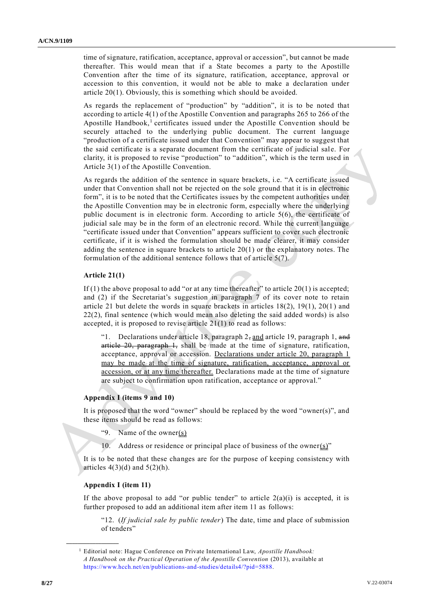time of signature, ratification, acceptance, approval or accession", but cannot be made thereafter. This would mean that if a State becomes a party to the Apostille Convention after the time of its signature, ratification, acceptance, approval or accession to this convention, it would not be able to make a declaration under article 20(1). Obviously, this is something which should be avoided.

As regards the replacement of "production" by "addition", it is to be noted that according to article 4(1) of the Apostille Convention and paragraphs 265 to 266 of the Apostille Handbook,<sup>1</sup> certificates issued under the Apostille Convention should be securely attached to the underlying public document. The current language "production of a certificate issued under that Convention" may appear to suggest that the said certificate is a separate document from the certificate of judicial sale. For clarity, it is proposed to revise "production" to "addition", which is the term used in Article 3(1) of the Apostille Convention.

As regards the addition of the sentence in square brackets, i.e. "A certificate issued under that Convention shall not be rejected on the sole ground that it is in electronic form", it is to be noted that the Certificates issues by the competent authorities under the Apostille Convention may be in electronic form, especially where the underlying public document is in electronic form. According to article 5(6), the certificate of judicial sale may be in the form of an electronic record. While the current language "certificate issued under that Convention" appears sufficient to cover such electronic certificate, if it is wished the formulation should be made clearer, it may consider adding the sentence in square brackets to article  $20(1)$  or the explanatory notes. The formulation of the additional sentence follows that of article 5(7).

## **Article 21(1)**

If  $(1)$  the above proposal to add "or at any time thereafter" to article  $20(1)$  is accepted; and (2) if the Secretariat's suggestion in paragraph 7 of its cover note to retain article 21 but delete the words in square brackets in articles 18(2), 19(1), 20(1) and 22(2), final sentence (which would mean also deleting the said added words) is also accepted, it is proposed to revise article 21(1) to read as follows:

"1. Declarations under article 18, paragraph  $2$ , and article 19, paragraph 1, and article 20, paragraph 1, shall be made at the time of signature, ratification, acceptance, approval or accession. Declarations under article 20, paragraph 1 may be made at the time of signature, ratification, acceptance, approval or accession, or at any time thereafter. Declarations made at the time of signature are subject to confirmation upon ratification, acceptance or approval."

### **Appendix I (items 9 and 10)**

It is proposed that the word "owner" should be replaced by the word "owner(s)", and these items should be read as follows:

- "9. Name of the owner(s)
- 10. Address or residence or principal place of business of the owner $(s)$ "

It is to be noted that these changes are for the purpose of keeping consistency with articles  $4(3)(d)$  and  $5(2)(h)$ .

## **Appendix I (item 11)**

**\_\_\_\_\_\_\_\_\_\_\_\_\_\_\_\_\_\_**

If the above proposal to add "or public tender" to article  $2(a)(i)$  is accepted, it is further proposed to add an additional item after item 11 as follows:

"12. (*If judicial sale by public tender*) The date, time and place of submission of tenders"

<sup>1</sup> Editorial note: Hague Conference on Private International Law, *Apostille Handbook: A Handbook on the Practical Operation of the Apostille Convention* (2013), available at [https://www.hcch.net/en/publications-and-studies/details4/?pid=5888.](https://www.hcch.net/en/publications-and-studies/details4/?pid=5888)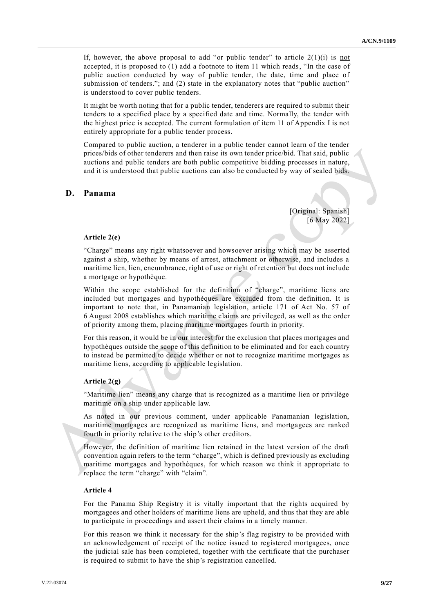If, however, the above proposal to add "or public tender" to article  $2(1)(i)$  is not accepted, it is proposed to (1) add a footnote to item 11 which reads, "In the case of public auction conducted by way of public tender, the date, time and place of submission of tenders."; and (2) state in the explanatory notes that "public auction" is understood to cover public tenders.

It might be worth noting that for a public tender, tenderers are required to submit their tenders to a specified place by a specified date and time. Normally, the tender with the highest price is accepted. The current formulation of item 11 of Appendix I is not entirely appropriate for a public tender process.

Compared to public auction, a tenderer in a public tender cannot learn of the tender prices/bids of other tenderers and then raise its own tender price/bid. That said, public auctions and public tenders are both public competitive bidding processes in nature, and it is understood that public auctions can also be conducted by way of sealed bids.

## **D. Panama**

[Original: Spanish] [6 May 2022]

## **Article 2(e)**

"Charge" means any right whatsoever and howsoever arising which may be asserted against a ship, whether by means of arrest, attachment or otherwise, and includes a maritime lien, lien, encumbrance, right of use or right of retention but does not include a mortgage or hypothèque.

Within the scope established for the definition of "charge", maritime liens are included but mortgages and hypothèques are excluded from the definition. It is important to note that, in Panamanian legislation, article 171 of Act No. 57 of 6 August 2008 establishes which maritime claims are privileged, as well as the order of priority among them, placing maritime mortgages fourth in priority.

For this reason, it would be in our interest for the exclusion that places mortgages and hypothèques outside the scope of this definition to be eliminated and for each country to instead be permitted to decide whether or not to recognize maritime mortgages as maritime liens, according to applicable legislation.

## **Article 2(g)**

"Maritime lien" means any charge that is recognized as a maritime lien or privilège maritime on a ship under applicable law.

As noted in our previous comment, under applicable Panamanian legislation, maritime mortgages are recognized as maritime liens, and mortgagees are ranked fourth in priority relative to the ship's other creditors.

However, the definition of maritime lien retained in the latest version of the draft convention again refers to the term "charge", which is defined previously as excluding maritime mortgages and hypothèques, for which reason we think it appropriate to replace the term "charge" with "claim".

### **Article 4**

For the Panama Ship Registry it is vitally important that the rights acquired by mortgagees and other holders of maritime liens are upheld, and thus that they are able to participate in proceedings and assert their claims in a timely manner.

For this reason we think it necessary for the ship's flag registry to be provided with an acknowledgement of receipt of the notice issued to registered mortgagees, once the judicial sale has been completed, together with the certificate that the purchaser is required to submit to have the ship's registration cancelled.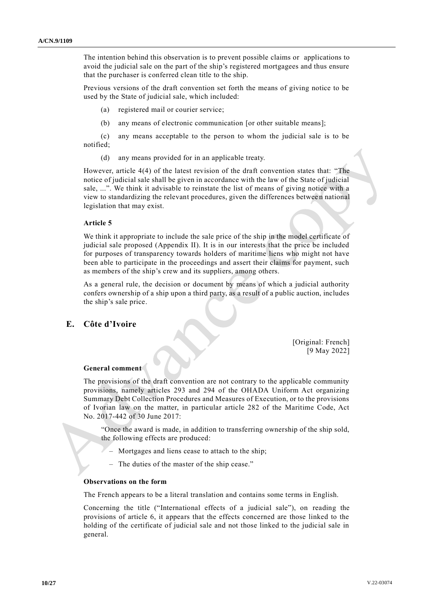The intention behind this observation is to prevent possible claims or applications to avoid the judicial sale on the part of the ship's registered mortgagees and thus ensure that the purchaser is conferred clean title to the ship.

Previous versions of the draft convention set forth the means of giving notice to be used by the State of judicial sale, which included:

(a) registered mail or courier service;

(b) any means of electronic communication [or other suitable means];

(c) any means acceptable to the person to whom the judicial sale is to be notified;

(d) any means provided for in an applicable treaty.

However, article 4(4) of the latest revision of the draft convention states that: "The notice of judicial sale shall be given in accordance with the law of the State of judicial sale, ...". We think it advisable to reinstate the list of means of giving notice with a view to standardizing the relevant procedures, given the differences betwee n national legislation that may exist.

## **Article 5**

We think it appropriate to include the sale price of the ship in the model certificate of judicial sale proposed (Appendix II). It is in our interests that the price be included for purposes of transparency towards holders of maritime liens who might not have been able to participate in the proceedings and assert their claims for payment, such as members of the ship's crew and its suppliers, among others.

As a general rule, the decision or document by means of which a judicial authority confers ownership of a ship upon a third party, as a result of a public auction, includes the ship's sale price.

## **E. Côte d'Ivoire**

[Original: French] [9 May 2022]

#### **General comment**

The provisions of the draft convention are not contrary to the applicable community provisions, namely articles 293 and 294 of the OHADA Uniform Act organizing Summary Debt Collection Procedures and Measures of Execution, or to the provisions of Ivorian law on the matter, in particular article 282 of the Maritime Code, Act No. 2017-442 of 30 June 2017:

"Once the award is made, in addition to transferring ownership of the ship sold, the following effects are produced:

- Mortgages and liens cease to attach to the ship;
- The duties of the master of the ship cease."

#### **Observations on the form**

The French appears to be a literal translation and contains some terms in English.

Concerning the title ("International effects of a judicial sale"), on reading the provisions of article 6, it appears that the effects concerned are those linked to the holding of the certificate of judicial sale and not those linked to the judicial sale in general.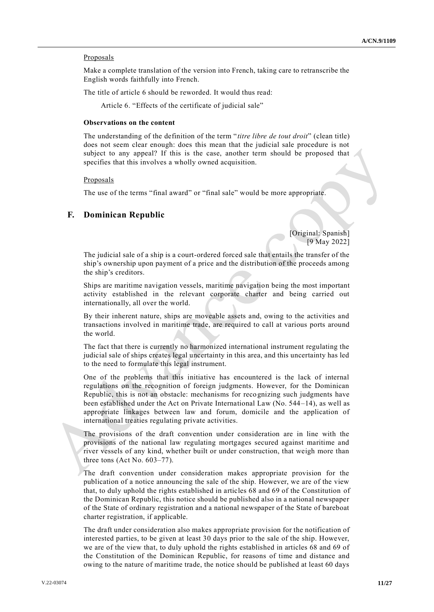### **Proposals**

Make a complete translation of the version into French, taking care to retranscribe the English words faithfully into French.

The title of article 6 should be reworded. It would thus read:

Article 6. "Effects of the certificate of judicial sale"

## **Observations on the content**

The understanding of the definition of the term "*titre libre de tout droit*" (clean title) does not seem clear enough: does this mean that the judicial sale procedure is not subject to any appeal? If this is the case, another term should be proposed that specifies that this involves a wholly owned acquisition.

#### Proposals

The use of the terms "final award" or "final sale" would be more appropriate.

## **F. Dominican Republic**

[Original: Spanish] [9 May 2022]

The judicial sale of a ship is a court-ordered forced sale that entails the transfer of the ship's ownership upon payment of a price and the distribution of the proceeds among the ship's creditors.

Ships are maritime navigation vessels, maritime navigation being the most important activity established in the relevant corporate charter and being carried out internationally, all over the world.

By their inherent nature, ships are moveable assets and, owing to the activities and transactions involved in maritime trade, are required to call at various ports around the world.

The fact that there is currently no harmonized international instrument regulating the judicial sale of ships creates legal uncertainty in this area, and this uncertainty has led to the need to formulate this legal instrument.

One of the problems that this initiative has encountered is the lack of internal regulations on the recognition of foreign judgments. However, for the Dominican Republic, this is not an obstacle: mechanisms for recognizing such judgments have been established under the Act on Private International Law (No. 544–14), as well as appropriate linkages between law and forum, domicile and the application of international treaties regulating private activities.

The provisions of the draft convention under consideration are in line with the provisions of the national law regulating mortgages secured against maritime and river vessels of any kind, whether built or under construction, that weigh more than three tons (Act No. 603–77).

The draft convention under consideration makes appropriate provision for the publication of a notice announcing the sale of the ship. However, we are of the view that, to duly uphold the rights established in articles 68 and 69 of the Constitution of the Dominican Republic, this notice should be published also in a national newspaper of the State of ordinary registration and a national newspaper of the State of bareboat charter registration, if applicable.

The draft under consideration also makes appropriate provision for the notification of interested parties, to be given at least 30 days prior to the sale of the ship. However, we are of the view that, to duly uphold the rights established in articles 68 and 69 of the Constitution of the Dominican Republic, for reasons of time and distance and owing to the nature of maritime trade, the notice should be published at least 60 days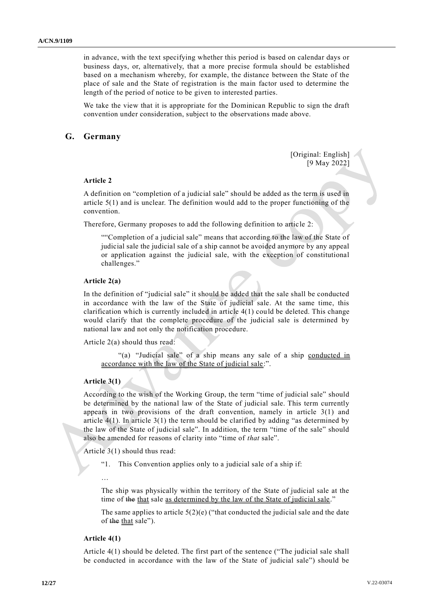in advance, with the text specifying whether this period is based on calendar days or business days, or, alternatively, that a more precise formula should be established based on a mechanism whereby, for example, the distance between the State of the place of sale and the State of registration is the main factor used to determine the length of the period of notice to be given to interested parties.

We take the view that it is appropriate for the Dominican Republic to sign the draft convention under consideration, subject to the observations made above.

## **G. Germany**

[Original: English] [9 May 2022]

## **Article 2**

A definition on "completion of a judicial sale" should be added as the term is used in article 5(1) and is unclear. The definition would add to the proper functioning of the convention.

Therefore, Germany proposes to add the following definition to article 2:

""Completion of a judicial sale" means that according to the law of the State of judicial sale the judicial sale of a ship cannot be avoided anymore by any appeal or application against the judicial sale, with the exception of constitutional challenges."

## **Article 2(a)**

In the definition of "judicial sale" it should be added that the sale shall be conducted in accordance with the law of the State of judicial sale. At the same time, this clarification which is currently included in article 4(1) could be deleted. This change would clarify that the complete procedure of the judicial sale is determined by national law and not only the notification procedure.

Article 2(a) should thus read:

"(a) "Judicial sale" of a ship means any sale of a ship conducted in accordance with the law of the State of judicial sale:".

### **Article 3(1)**

According to the wish of the Working Group, the term "time of judicial sale" should be determined by the national law of the State of judicial sale. This term currently appears in two provisions of the draft convention, namely in article 3(1) and article 4(1). In article 3(1) the term should be clarified by adding "as determined by the law of the State of judicial sale". In addition, the term "time of the sale" should also be amended for reasons of clarity into "time of *that* sale".

Article 3(1) should thus read:

- "1. This Convention applies only to a judicial sale of a ship if:
- The ship was physically within the territory of the State of judicial sale at the time of the that sale as determined by the law of the State of judicial sale."

The same applies to article  $5(2)(e)$  ("that conducted the judicial sale and the date of the that sale").

#### **Article 4(1)**

…

Article 4(1) should be deleted. The first part of the sentence ("The judicial sale shall be conducted in accordance with the law of the State of judicial sale") should be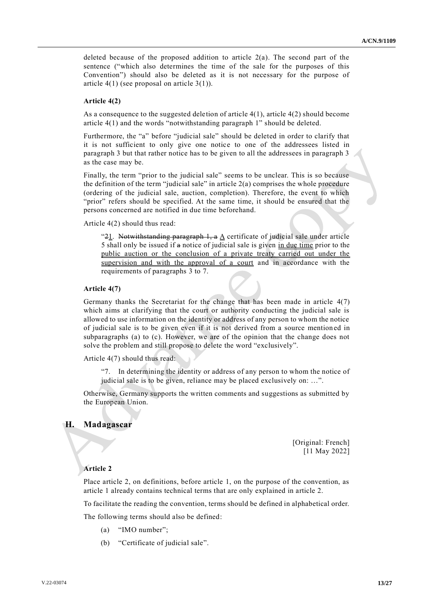deleted because of the proposed addition to article  $2(a)$ . The second part of the sentence ("which also determines the time of the sale for the purposes of this Convention") should also be deleted as it is not necessary for the purpose of article  $4(1)$  (see proposal on article  $3(1)$ ).

### **Article 4(2)**

As a consequence to the suggested deletion of article  $4(1)$ , article  $4(2)$  should become article 4(1) and the words "notwithstanding paragraph 1" should be deleted.

Furthermore, the "a" before "judicial sale" should be deleted in order to clarify that it is not sufficient to only give one notice to one of the addressees listed in paragraph 3 but that rather notice has to be given to all the addressees in paragraph 3 as the case may be.

Finally, the term "prior to the judicial sale" seems to be unclear. This is so because the definition of the term "judicial sale" in article  $2(a)$  comprises the whole procedure (ordering of the judicial sale, auction, completion). Therefore, the event to which "prior" refers should be specified. At the same time, it should be ensured that the persons concerned are notified in due time beforehand.

Article 4(2) should thus read:

"21. Notwithstanding paragraph 1, a  $\Delta$  certificate of judicial sale under article 5 shall only be issued if a notice of judicial sale is given in due time prior to the public auction or the conclusion of a private treaty carried out under the supervision and with the approval of a court and in accordance with the requirements of paragraphs 3 to 7.

#### **Article 4(7)**

Germany thanks the Secretariat for the change that has been made in article 4(7) which aims at clarifying that the court or authority conducting the judicial sale is allowed to use information on the identity or address of any person to whom the notice of judicial sale is to be given even if it is not derived from a source mention ed in subparagraphs (a) to (c). However, we are of the opinion that the change does not solve the problem and still propose to delete the word "exclusively".

Article 4(7) should thus read:

"7. In determining the identity or address of any person to whom the notice of judicial sale is to be given, reliance may be placed exclusively on: …".

Otherwise, Germany supports the written comments and suggestions as submitted by the European Union.

## **H. Madagascar**

[Original: French] [11 May 2022]

#### **Article 2**

Place article 2, on definitions, before article 1, on the purpose of the convention, as article 1 already contains technical terms that are only explained in article 2.

To facilitate the reading the convention, terms should be defined in alphabetical order.

The following terms should also be defined:

- (a) "IMO number";
- (b) "Certificate of judicial sale".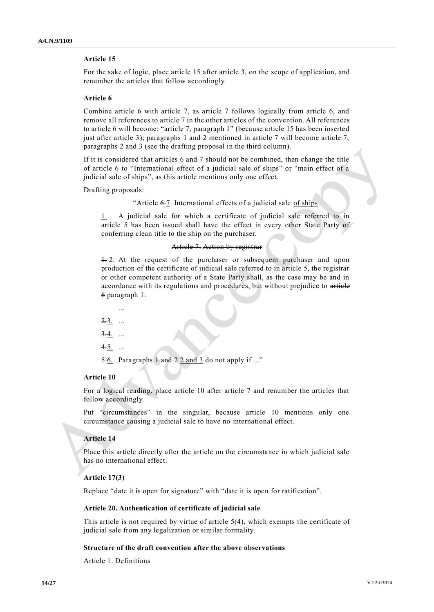## **Article 15**

For the sake of logic, place article 15 after article 3, on the scope of application, and renumber the articles that follow accordingly.

#### **Article 6**

Combine article 6 with article 7, as article 7 follows logically from article 6, and remove all references to article 7 in the other articles of the convention. All references to article 6 will become: "article 7, paragraph 1" (because article 15 has been inserted just after article 3); paragraphs 1 and 2 mentioned in article 7 will become article 7, paragraphs 2 and 3 (see the drafting proposal in the third column).

If it is considered that articles 6 and 7 should not be combined, then change the title of article 6 to "International effect of a judicial sale of ships" or "main effect of a judicial sale of ships", as this article mentions only one effect.

Drafting proposals:

"Article  $6-7$ . International effects of a judicial sale of ships

1. A judicial sale for which a certificate of judicial sale referred to in article 5 has been issued shall have the effect in every other State Party of conferring clean title to the ship on the purchaser.

#### Article 7. Action by registrar

 $\pm$  2. At the request of the purchaser or subsequent purchaser and upon production of the certificate of judicial sale referred to in article 5, the registrar or other competent authority of a State Party shall, as the case may be and in accordance with its regulations and procedures, but without prejudice to article 6 paragraph 1:

- ...
- $2.3.$  ...
- $3.4.$  ...
- $4.5.$  ...

5.6. Paragraphs  $\frac{1 \text{ and } 2 \text{ and } 3}{1 \text{ and } 3}$  do not apply if ..."

## **Article 10**

For a logical reading, place article 10 after article 7 and renumber the articles that follow accordingly.

Put "circumstances" in the singular, because article 10 mentions only one circumstance causing a judicial sale to have no international effect.

## **Article 14**

Place this article directly after the article on the circumstance in which judicial sale has no international effect.

#### **Article 17(3)**

Replace "date it is open for signature" with "date it is open for ratification".

#### **Article 20. Authentication of certificate of judicial sale**

This article is not required by virtue of article  $5(4)$ , which exempts the certificate of judicial sale from any legalization or similar formality.

## **Structure of the draft convention after the above observations**

Article 1. Definitions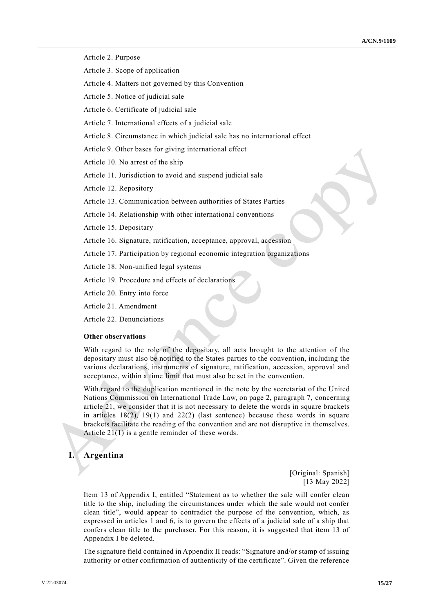Article 2. Purpose

- Article 3. Scope of application
- Article 4. Matters not governed by this Convention
- Article 5. Notice of judicial sale
- Article 6. Certificate of judicial sale
- Article 7. International effects of a judicial sale
- Article 8. Circumstance in which judicial sale has no international effect
- Article 9. Other bases for giving international effect
- Article 10. No arrest of the ship
- Article 11. Jurisdiction to avoid and suspend judicial sale
- Article 12. Repository
- Article 13. Communication between authorities of States Parties
- Article 14. Relationship with other international conventions
- Article 15. Depositary
- Article 16. Signature, ratification, acceptance, approval, accession
- Article 17. Participation by regional economic integration organizations
- Article 18. Non-unified legal systems
- Article 19. Procedure and effects of declarations
- Article 20. Entry into force
- Article 21. Amendment
- Article 22. Denunciations

#### **Other observations**

With regard to the role of the depositary, all acts brought to the attention of the depositary must also be notified to the States parties to the convention, including the various declarations, instruments of signature, ratification, accession, approval and acceptance, within a time limit that must also be set in the convention.

With regard to the duplication mentioned in the note by the secretariat of the United Nations Commission on International Trade Law, on page 2, paragraph 7, concerning article 21, we consider that it is not necessary to delete the words in square brackets in articles  $18(2)$ ,  $19(1)$  and  $22(2)$  (last sentence) because these words in square brackets facilitate the reading of the convention and are not disruptive in themselves. Article 21(1) is a gentle reminder of these words.

## **I. Argentina**

[Original: Spanish] [13 May 2022]

Item 13 of Appendix I, entitled "Statement as to whether the sale will confer clean title to the ship, including the circumstances under which the sale would not confer clean title", would appear to contradict the purpose of the convention, which, as expressed in articles 1 and 6, is to govern the effects of a judicial sale of a ship that confers clean title to the purchaser. For this reason, it is suggested that item 13 of Appendix I be deleted.

The signature field contained in Appendix II reads: "Signature and/or stamp of issuing authority or other confirmation of authenticity of the certificate". Given the reference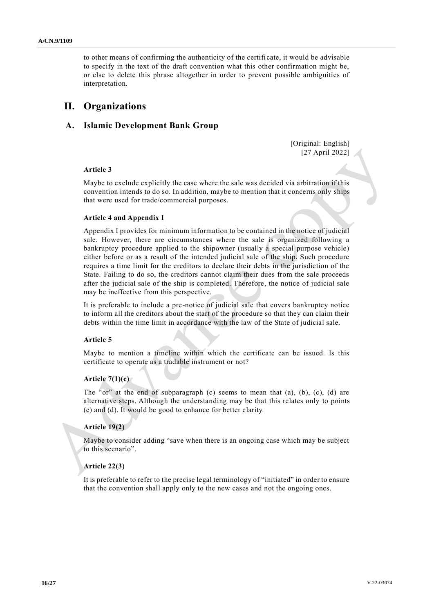to other means of confirming the authenticity of the certifi cate, it would be advisable to specify in the text of the draft convention what this other confirmation might be, or else to delete this phrase altogether in order to prevent possible ambiguities of interpretation.

# **II. Organizations**

## **A. Islamic Development Bank Group**

[Original: English] [27 April 2022]

## **Article 3**

Maybe to exclude explicitly the case where the sale was decided via arbitration if this convention intends to do so. In addition, maybe to mention that it concerns only ships that were used for trade/commercial purposes.

## **Article 4 and Appendix I**

Appendix I provides for minimum information to be contained in the notice of judicial sale. However, there are circumstances where the sale is organized following a bankruptcy procedure applied to the shipowner (usually a special purpose vehicle) either before or as a result of the intended judicial sale of the ship. Such procedure requires a time limit for the creditors to declare their debts in the jurisdiction of the State. Failing to do so, the creditors cannot claim their dues from the sale proceeds after the judicial sale of the ship is completed. Therefore, the notice of judicial sale may be ineffective from this perspective.

It is preferable to include a pre-notice of judicial sale that covers bankruptcy notice to inform all the creditors about the start of the procedure so that they can claim their debts within the time limit in accordance with the law of the State of judicial sale.

## **Article 5**

Maybe to mention a timeline within which the certificate can be issued. Is this certificate to operate as a tradable instrument or not?

### **Article 7(1)(c)**

The "or" at the end of subparagraph  $(c)$  seems to mean that  $(a)$ ,  $(b)$ ,  $(c)$ ,  $(d)$  are alternative steps. Although the understanding may be that this relates only to points (c) and (d). It would be good to enhance for better clarity.

## **Article 19(2)**

Maybe to consider adding "save when there is an ongoing case which may be subject to this scenario".

#### **Article 22(3)**

It is preferable to refer to the precise legal terminology of "initiated" in order to ensure that the convention shall apply only to the new cases and not the ongoing ones.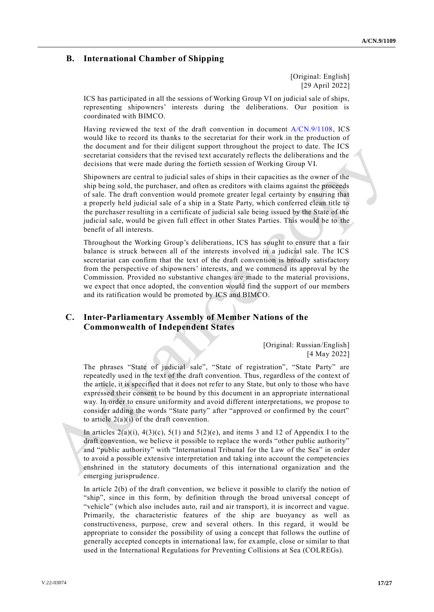## **B. International Chamber of Shipping**

[Original: English] [29 April 2022]

ICS has participated in all the sessions of Working Group VI on judicial sale of ships, representing shipowners' interests during the deliberations. Our position is coordinated with BIMCO.

Having reviewed the text of the draft convention in document [A/CN.9/1108,](http://undocs.org/A/CN.9/1108) ICS would like to record its thanks to the secretariat for their work in the production of the document and for their diligent support throughout the project to date. The ICS secretariat considers that the revised text accurately reflects the deliberations and the decisions that were made during the fortieth session of Working Group VI.

Shipowners are central to judicial sales of ships in their capacities as the owner of the ship being sold, the purchaser, and often as creditors with claims against the proceeds of sale. The draft convention would promote greater legal certainty by ensuring that a properly held judicial sale of a ship in a State Party, which conferred clean title to the purchaser resulting in a certificate of judicial sale being issued by the State of the judicial sale, would be given full effect in other States Parties. This would be to the benefit of all interests.

Throughout the Working Group's deliberations, ICS has sought to ensure that a fair balance is struck between all of the interests involved in a judicial sale. The ICS secretariat can confirm that the text of the draft convention is broadly satisfactory from the perspective of shipowners' interests, and we commend its approval by the Commission. Provided no substantive changes are made to the material provisions, we expect that once adopted, the convention would find the support of our members and its ratification would be promoted by ICS and BIMCO.

## **C. Inter-Parliamentary Assembly of Member Nations of the Commonwealth of Independent States**

[Original: Russian/English] [4 May 2022]

The phrases "State of judicial sale", "State of registration", "State Party" are repeatedly used in the text of the draft convention. Thus, regardless of the context of the article, it is specified that it does not refer to any State, but only to those who have expressed their consent to be bound by this document in an appropriate international way. In order to ensure uniformity and avoid different interpretations, we propose to consider adding the words "State party" after "approved or confirmed by the court" to article  $2(a)(i)$  of the draft convention.

In articles  $2(a)(i)$ ,  $4(3)(c)$ ,  $5(1)$  and  $5(2)(e)$ , and items 3 and 12 of Appendix I to the draft convention, we believe it possible to replace the words "other public authority" and "public authority" with "International Tribunal for the Law of the Sea" in order to avoid a possible extensive interpretation and taking into account the competencies enshrined in the statutory documents of this international organization and the emerging jurisprudence.

In article 2(b) of the draft convention, we believe it possible to clarify the notion of "ship", since in this form, by definition through the broad universal concept of "vehicle" (which also includes auto, rail and air transport), it is incorrect and vague. Primarily, the characteristic features of the ship are buoyancy as well as constructiveness, purpose, crew and several others. In this regard, it would be appropriate to consider the possibility of using a concept that follows the outline of generally accepted concepts in international law, for example, close or similar to that used in the International Regulations for Preventing Collisions at Sea (COLREGs).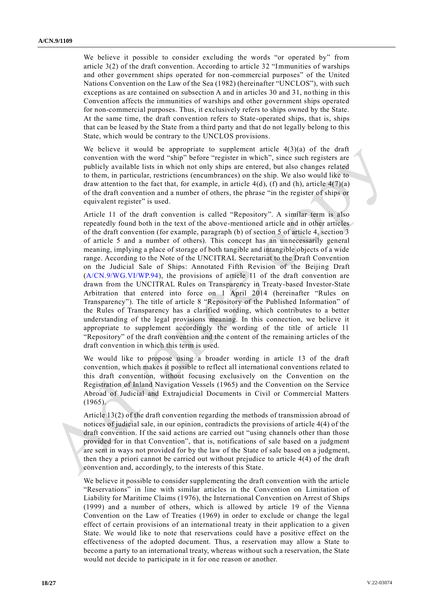We believe it possible to consider excluding the words "or operated by" from article 3(2) of the draft convention. According to article 32 "Immunities of warships and other government ships operated for non-commercial purposes" of the United Nations Convention on the Law of the Sea (1982) (hereinafter "UNCLOS"), with such exceptions as are contained on subsection A and in articles 30 and 31, no thing in this Convention affects the immunities of warships and other government ships operated for non-commercial purposes. Thus, it exclusively refers to ships owned by the State. At the same time, the draft convention refers to State-operated ships, that is, ships that can be leased by the State from a third party and that do not legally belong to this State, which would be contrary to the UNCLOS provisions.

We believe it would be appropriate to supplement article  $4(3)(a)$  of the draft convention with the word "ship" before "register in which", since such registers are publicly available lists in which not only ships are entered, but also changes related to them, in particular, restrictions (encumbrances) on the ship. We also would like to draw attention to the fact that, for example, in article  $4(d)$ , (f) and (h), article  $4(7)(a)$ of the draft convention and a number of others, the phrase "in the register of ships or equivalent register" is used.

Article 11 of the draft convention is called "Repository". A similar term is also repeatedly found both in the text of the above-mentioned article and in other articles of the draft convention (for example, paragraph (b) of section 5 of article 4, section 3 of article 5 and a number of others). This concept has an unnecessarily general meaning, implying a place of storage of both tangible and intangible objects of a wide range. According to the Note of the UNCITRAL Secretariat to the Draft Convention on the Judicial Sale of Ships: Annotated Fifth Revision of the Beijing Draft [\(A/CN.9/WG.VI/WP.94\)](http://undocs.org/A/CN.9/WG.VI/WP.94), the provisions of article 11 of the draft convention are drawn from the UNCITRAL Rules on Transparency in Treaty-based Investor-State Arbitration that entered into force on 1 April 2014 (hereinafter "Rules on Transparency"). The title of article 8 "Repository of the Published Information" of the Rules of Transparency has a clarified wording, which contributes to a better understanding of the legal provisions meaning. In this connection, we believe it appropriate to supplement accordingly the wording of the title of article 11 "Repository" of the draft convention and the content of the remaining articles of the draft convention in which this term is used.

We would like to propose using a broader wording in article 13 of the draft convention, which makes it possible to reflect all international conventions related to this draft convention, without focusing exclusively on the Convention on the Registration of Inland Navigation Vessels (1965) and the Convention on the Service Abroad of Judicial and Extrajudicial Documents in Civil or Commercial Matters  $(1965).$ 

Article 13(2) of the draft convention regarding the methods of transmission abroad of notices of judicial sale, in our opinion, contradicts the provisions of article 4(4) of the draft convention. If the said actions are carried out "using channels other than those provided for in that Convention", that is, notifications of sale based on a judgment are sent in ways not provided for by the law of the State of sale based on a judgment, then they a priori cannot be carried out without prejudice to article 4(4) of the draft convention and, accordingly, to the interests of this State.

We believe it possible to consider supplementing the draft convention with the article "Reservations" in line with similar articles in the Convention on Limitation of Liability for Maritime Claims (1976), the International Convention on Arrest of Ships (1999) and a number of others, which is allowed by article 19 of the Vienna Convention on the Law of Treaties (1969) in order to exclude or change the legal effect of certain provisions of an international treaty in their application to a given State. We would like to note that reservations could have a positive effect on the effectiveness of the adopted document. Thus, a reservation may allow a State to become a party to an international treaty, whereas without such a reservation, the State would not decide to participate in it for one reason or another.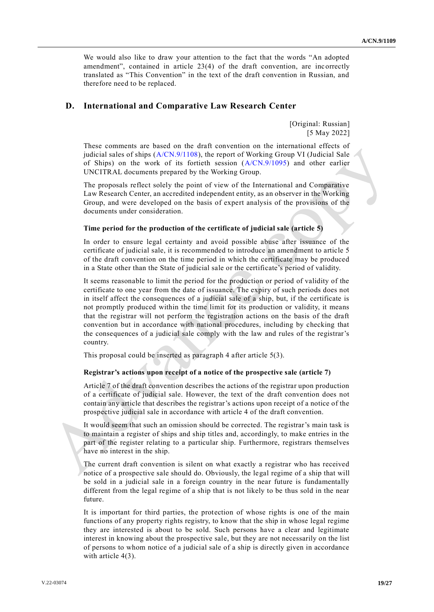We would also like to draw your attention to the fact that the words "An adopted amendment", contained in article 23(4) of the draft convention, are incorrectly translated as "This Convention" in the text of the draft convention in Russian, and therefore need to be replaced.

## **D. International and Comparative Law Research Center**

[Original: Russian] [5 May 2022]

These comments are based on the draft convention on the international effects of judicial sales of ships [\(A/CN.9/1108\)](http://undocs.org/A/CN.9/1108), the report of Working Group VI (Judicial Sale of Ships) on the work of its fortieth session [\(A/CN.9/1095\)](http://undocs.org/A/CN.9/1095) and other earlier UNCITRAL documents prepared by the Working Group.

The proposals reflect solely the point of view of the International and Comparative Law Research Center, an accredited independent entity, as an observer in the Working Group, and were developed on the basis of expert analysis of the provisions of the documents under consideration.

## **Time period for the production of the certificate of judicial sale (article 5)**

In order to ensure legal certainty and avoid possible abuse after issuance of the certificate of judicial sale, it is recommended to introduce an amendment to article 5 of the draft convention on the time period in which the certificate may be produced in a State other than the State of judicial sale or the certificate's period of validity.

It seems reasonable to limit the period for the production or period of validity of the certificate to one year from the date of issuance. The expiry of such periods does not in itself affect the consequences of a judicial sale of a ship, but, if the certificate is not promptly produced within the time limit for its production or validity, it means that the registrar will not perform the registration actions on the basis of the draft convention but in accordance with national procedures, including by checking that the consequences of a judicial sale comply with the law and rules of the registrar's country.

This proposal could be inserted as paragraph 4 after article 5(3).

### **Registrar's actions upon receipt of a notice of the prospective sale (article 7)**

Article 7 of the draft convention describes the actions of the registrar upon production of a certificate of judicial sale. However, the text of the draft convention does not contain any article that describes the registrar's actions upon receipt of a notice of the prospective judicial sale in accordance with article 4 of the draft convention.

It would seem that such an omission should be corrected. The registrar's main task is to maintain a register of ships and ship titles and, accordingly, to make entries in the part of the register relating to a particular ship. Furthermore, registrars themselves have no interest in the ship.

The current draft convention is silent on what exactly a registrar who has received notice of a prospective sale should do. Obviously, the legal regime of a ship that will be sold in a judicial sale in a foreign country in the near future is fundamentally different from the legal regime of a ship that is not likely to be thus sold in the near future.

It is important for third parties, the protection of whose rights is one of the main functions of any property rights registry, to know that the ship in whose legal regime they are interested is about to be sold. Such persons have a clear and legitimate interest in knowing about the prospective sale, but they are not necessarily on the list of persons to whom notice of a judicial sale of a ship is directly given in accordance with article 4(3).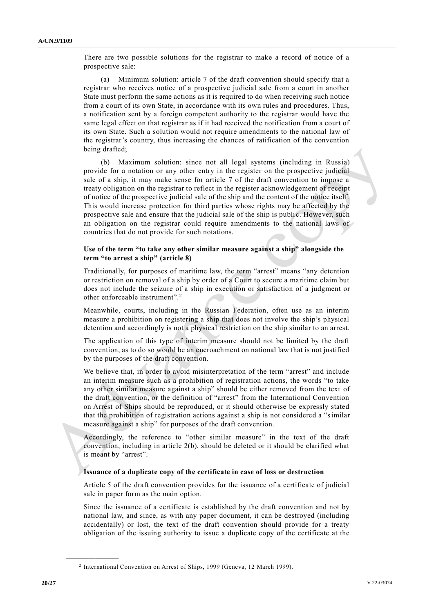There are two possible solutions for the registrar to make a record of notice of a prospective sale:

(a) Minimum solution: article 7 of the draft convention should specify that a registrar who receives notice of a prospective judicial sale from a court in another State must perform the same actions as it is required to do when receiving such notice from a court of its own State, in accordance with its own rules and procedures. Thus, a notification sent by a foreign competent authority to the registrar would have the same legal effect on that registrar as if it had received the notification from a court of its own State. Such a solution would not require amendments to the national law of the registrar's country, thus increasing the chances of ratification of the convention being drafted;

(b) Maximum solution: since not all legal systems (including in Russia) provide for a notation or any other entry in the register on the prospective judicial sale of a ship, it may make sense for article 7 of the draft convention to impose a treaty obligation on the registrar to reflect in the register acknowledgement of receipt of notice of the prospective judicial sale of the ship and the content of the notice itself. This would increase protection for third parties whose rights may be affected by the prospective sale and ensure that the judicial sale of the ship is public. However, such an obligation on the registrar could require amendments to the national laws of countries that do not provide for such notations.

## **Use of the term "to take any other similar measure against a ship" alongside the term "to arrest a ship" (article 8)**

Traditionally, for purposes of maritime law, the term "arrest" means "any detention or restriction on removal of a ship by order of a Court to secure a maritime claim but does not include the seizure of a ship in execution or satisfaction of a judgment or other enforceable instrument". <sup>2</sup>

Meanwhile, courts, including in the Russian Federation, often use as an interim measure a prohibition on registering a ship that does not involve the ship's physical detention and accordingly is not a physical restriction on the ship similar to an arrest.

The application of this type of interim measure should not be limited by the draft convention, as to do so would be an encroachment on national law that is not justified by the purposes of the draft convention.

We believe that, in order to avoid misinterpretation of the term "arrest" and include an interim measure such as a prohibition of registration actions, the words "to take any other similar measure against a ship" should be either removed from the text of the draft convention, or the definition of "arrest" from the International Convention on Arrest of Ships should be reproduced, or it should otherwise be expressly stated that the prohibition of registration actions against a ship is not considered a "similar measure against a ship" for purposes of the draft convention.

Accordingly, the reference to "other similar measure" in the text of the draft convention, including in article 2(b), should be deleted or it should be clarified what is meant by "arrest".

### **Issuance of a duplicate copy of the certificate in case of loss or destruction**

Article 5 of the draft convention provides for the issuance of a certificate of judicial sale in paper form as the main option.

Since the issuance of a certificate is established by the draft convention and not by national law, and since, as with any paper document, it can be destroyed (including accidentally) or lost, the text of the draft convention should provide for a treaty obligation of the issuing authority to issue a duplicate copy of the certificate at the

**\_\_\_\_\_\_\_\_\_\_\_\_\_\_\_\_\_\_**

<sup>&</sup>lt;sup>2</sup> International Convention on Arrest of Ships, 1999 (Geneva, 12 March 1999).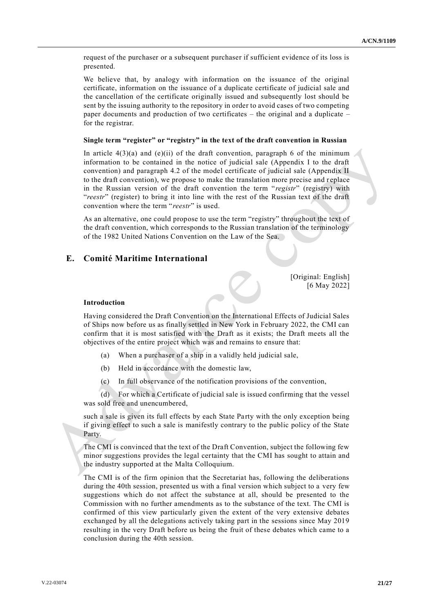request of the purchaser or a subsequent purchaser if sufficient evidence of its loss is presented.

We believe that, by analogy with information on the issuance of the original certificate, information on the issuance of a duplicate certificate of judicial sale and the cancellation of the certificate originally issued and subsequently lost should be sent by the issuing authority to the repository in order to avoid cases of two competing paper documents and production of two certificates – the original and a duplicate – for the registrar.

#### **Single term "register" or "registry" in the text of the draft convention in Russian**

In article  $4(3)(a)$  and (e)(ii) of the draft convention, paragraph 6 of the minimum information to be contained in the notice of judicial sale (Appendix I to the draft convention) and paragraph 4.2 of the model certificate of judicial sale (Appendix II to the draft convention), we propose to make the translation more precise and r eplace in the Russian version of the draft convention the term "*registr*" (registry) with "*reestr*" (register) to bring it into line with the rest of the Russian text of the draft convention where the term "*reestr*" is used.

As an alternative, one could propose to use the term "registry" throughout the text of the draft convention, which corresponds to the Russian translation of the terminology of the 1982 United Nations Convention on the Law of the Sea.

## **E. Comité Maritime International**

[Original: English] [6 May 2022]

#### **Introduction**

Having considered the Draft Convention on the International Effects of Judicial Sales of Ships now before us as finally settled in New York in February 2022, the CMI can confirm that it is most satisfied with the Draft as it exists; the Draft meets all the objectives of the entire project which was and remains to ensure that:

- (a) When a purchaser of a ship in a validly held judicial sale,
- (b) Held in accordance with the domestic law,
- (c) In full observance of the notification provisions of the convention,

(d) For which a Certificate of judicial sale is issued confirming that the vessel was sold free and unencumbered,

such a sale is given its full effects by each State Party with the only exception being if giving effect to such a sale is manifestly contrary to the public policy of the State Party.

The CMI is convinced that the text of the Draft Convention, subject the following few minor suggestions provides the legal certainty that the CMI has sought to attain and the industry supported at the Malta Colloquium.

The CMI is of the firm opinion that the Secretariat has, following the deliberations during the 40th session, presented us with a final version which subject to a very few suggestions which do not affect the substance at all, should be presented to the Commission with no further amendments as to the substance of the text. The CMI is confirmed of this view particularly given the extent of the very extensive debates exchanged by all the delegations actively taking part in the sessions since May 2019 resulting in the very Draft before us being the fruit of these debates which came to a conclusion during the 40th session.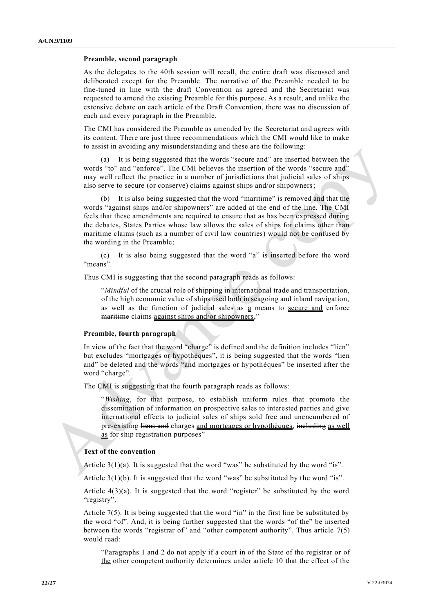### **Preamble, second paragraph**

As the delegates to the 40th session will recall, the entire draft was discussed and deliberated except for the Preamble. The narrative of the Preamble needed to be fine-tuned in line with the draft Convention as agreed and the Secretariat was requested to amend the existing Preamble for this purpose. As a result, and unlike the extensive debate on each article of the Draft Convention, there was no discussion of each and every paragraph in the Preamble.

The CMI has considered the Preamble as amended by the Secretariat and agrees with its content. There are just three recommendations which the CMI would like to make to assist in avoiding any misunderstanding and these are the following:

(a) It is being suggested that the words "secure and" are inserted between the words "to" and "enforce". The CMI believes the insertion of the words "secure and" may well reflect the practice in a number of jurisdictions that judicial sales of ships also serve to secure (or conserve) claims against ships and/or shipowners;

(b) It is also being suggested that the word "maritime" is removed and that the words "against ships and/or shipowners" are added at the end of the line. The CMI feels that these amendments are required to ensure that as has been expressed during the debates, States Parties whose law allows the sales of ships for claims other than maritime claims (such as a number of civil law countries) would not be confused by the wording in the Preamble;

(c) It is also being suggested that the word "a" is inserted before the word "means".

Thus CMI is suggesting that the second paragraph reads as follows:

"*Mindful* of the crucial role of shipping in international trade and transportation, of the high economic value of ships used both in seagoing and inland navigation, as well as the function of judicial sales as a means to secure and enforce maritime claims against ships and/or shipowners,"

#### **Preamble, fourth paragraph**

In view of the fact that the word "charge" is defined and the definition includes "lien" but excludes "mortgages or hypothèques", it is being suggested that the words "lien and" be deleted and the words "and mortgages or hypothèques" be inserted after the word "charge".

The CMI is suggesting that the fourth paragraph reads as follows:

"*Wishing*, for that purpose, to establish uniform rules that promote the dissemination of information on prospective sales to interested parties and give international effects to judicial sales of ships sold free and unencumbered of pre-existing liens and charges and mortgages or hypothèques, including as well as for ship registration purposes"

## **Text of the convention**

Article  $3(1)(a)$ . It is suggested that the word "was" be substituted by the word "is".

Article  $3(1)(b)$ . It is suggested that the word "was" be substituted by the word "is".

Article 4(3)(a). It is suggested that the word "register" be substituted by the word "registry".

Article 7(5). It is being suggested that the word "in" in the first line be substituted by the word "of". And, it is being further suggested that the words "of the" be inserted between the words "registrar of" and "other competent authority". Thus article 7(5) would read:

"Paragraphs 1 and 2 do not apply if a court in of the State of the registrar or of the other competent authority determines under article 10 that the effect of the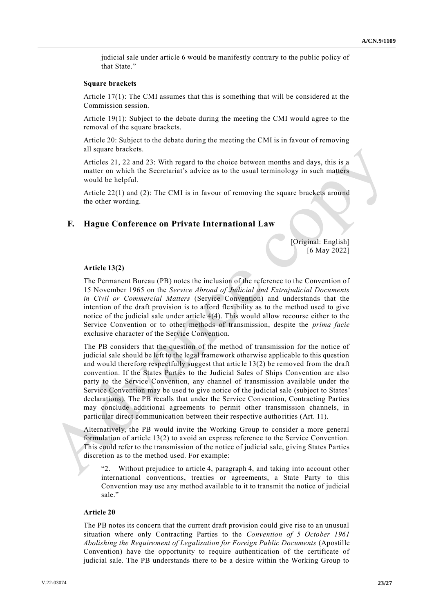judicial sale under article 6 would be manifestly contrary to the public policy of that State."

#### **Square brackets**

Article 17(1): The CMI assumes that this is something that will be considered at the Commission session.

Article 19(1): Subject to the debate during the meeting the CMI would agree to the removal of the square brackets.

Article 20: Subject to the debate during the meeting the CMI is in favour of removing all square brackets.

Articles 21, 22 and 23: With regard to the choice between months and days, this is a matter on which the Secretariat's advice as to the usual terminology in such matters would be helpful.

Article 22(1) and (2): The CMI is in favour of removing the square brackets around the other wording.

## **F. Hague Conference on Private International Law**

[Original: English] [6 May 2022]

#### **Article 13(2)**

The Permanent Bureau (PB) notes the inclusion of the reference to the Convention of 15 November 1965 on the *Service Abroad of Judicial and Extrajudicial Documents in Civil or Commercial Matters* (Service Convention) and understands that the intention of the draft provision is to afford flexibility as to the method used to give notice of the judicial sale under article 4(4). This would allow recourse either to the Service Convention or to other methods of transmission, despite the *prima facie* exclusive character of the Service Convention.

The PB considers that the question of the method of transmission for the notice of judicial sale should be left to the legal framework otherwise applicable to this question and would therefore respectfully suggest that artic le 13(2) be removed from the draft convention. If the States Parties to the Judicial Sales of Ships Convention are also party to the Service Convention, any channel of transmission available under the Service Convention may be used to give notice of the judicial sale (subject to States' declarations). The PB recalls that under the Service Convention, Contracting Parties may conclude additional agreements to permit other transmission channels, in particular direct communication between their respective authorities (Art. 11).

Alternatively, the PB would invite the Working Group to consider a more general formulation of article 13(2) to avoid an express reference to the Service Convention. This could refer to the transmission of the notice of judicial sale, giving States Parties discretion as to the method used. For example:

"2. Without prejudice to article 4, paragraph 4, and taking into account other international conventions, treaties or agreements, a State Party to this Convention may use any method available to it to transmit the notice of judicial sale."

### **Article 20**

The PB notes its concern that the current draft provision could give rise to an unusual situation where only Contracting Parties to the *Convention of 5 October 1961 Abolishing the Requirement of Legalisation for Foreign Public Documents* (Apostille Convention) have the opportunity to require authentication of the certificate of judicial sale. The PB understands there to be a desire within the Working Group to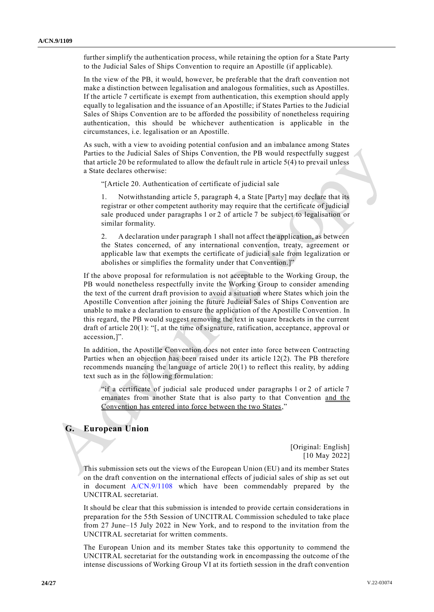further simplify the authentication process, while retaining the option for a State Party to the Judicial Sales of Ships Convention to require an Apostille (if applicable).

In the view of the PB, it would, however, be preferable that the draft convention not make a distinction between legalisation and analogous formalities, such as Apostilles. If the article 7 certificate is exempt from authentication, this exemption should apply equally to legalisation and the issuance of an Apostille; if States Parties to the Judicial Sales of Ships Convention are to be afforded the possibility of nonetheless requiring authentication, this should be whichever authentication is applicable in the circumstances, i.e. legalisation or an Apostille.

As such, with a view to avoiding potential confusion and an imbalance among States Parties to the Judicial Sales of Ships Convention, the PB would respectfully suggest that article 20 be reformulated to allow the default rule in article 5(4) to prevail unless a State declares otherwise:

"[Article 20. Authentication of certificate of judicial sale

1. Notwithstanding article 5, paragraph 4, a State [Party] may declare that its registrar or other competent authority may require that the certificate of judicial sale produced under paragraphs 1 or 2 of article 7 be subject to legalisation or similar formality.

2. A declaration under paragraph 1 shall not affect the application, as between the States concerned, of any international convention, treaty, agreement or applicable law that exempts the certificate of judicial sale from legalization or abolishes or simplifies the formality under that Convention.]"

If the above proposal for reformulation is not acceptable to the Working Group, the PB would nonetheless respectfully invite the Working Group to consider amending the text of the current draft provision to avoid a situation where States which join the Apostille Convention after joining the future Judicial Sales of Ships Convention are unable to make a declaration to ensure the application of the Apostille Convention. In this regard, the PB would suggest removing the text in square brackets in the current draft of article 20(1): "[, at the time of signature, ratification, acceptance, approval or accession,]".

In addition, the Apostille Convention does not enter into force between Contracting Parties when an objection has been raised under its article 12(2). The PB therefore recommends nuancing the language of article 20(1) to reflect this reality, by adding text such as in the following formulation:

"if a certificate of judicial sale produced under paragraphs 1 or 2 of article 7 emanates from another State that is also party to that Convention and the Convention has entered into force between the two States,"

## **G. European Union**

[Original: English] [10 May 2022]

This submission sets out the views of the European Union (EU) and its member States on the draft convention on the international effects of judicial sales of ship as set out in document [A/CN.9/1108](http://undocs.org/A/CN.9/1108) which have been commendably prepared by the UNCITRAL secretariat.

It should be clear that this submission is intended to provide certain considerations in preparation for the 55th Session of UNCITRAL Commission scheduled to take place from 27 June–15 July 2022 in New York, and to respond to the invitation from the UNCITRAL secretariat for written comments.

The European Union and its member States take this opportunity to commend the UNCITRAL secretariat for the outstanding work in encompassing the outcome of the intense discussions of Working Group VI at its fortieth session in the draft convention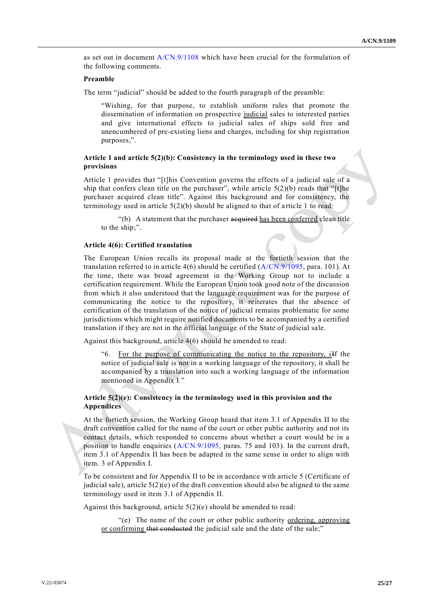as set out in document [A/CN.9/1108](http://undocs.org/A/CN.9/1108) which have been crucial for the formulation of the following comments.

## **Preamble**

The term "judicial" should be added to the fourth paragraph of the preamble:

"Wishing, for that purpose, to establish uniform rules that promote the dissemination of information on prospective judicial sales to interested parties and give international effects to judicial sales of ships sold free and unencumbered of pre-existing liens and charges, including for ship registration purposes,".

## **Article 1 and article 5(2)(b): Consistency in the terminology used in these two provisions**

Article 1 provides that "[t]his Convention governs the effects of a judicial sale of a ship that confers clean title on the purchaser", while article  $5(2)(b)$  reads that "[t]he purchaser acquired clean title". Against this background and for consistency, the terminology used in article  $5(2)(b)$  should be aligned to that of article 1 to read:

"(b) A statement that the purchaser acquired has been conferred clean title to the ship;".

## **Article 4(6): Certified translation**

The European Union recalls its proposal made at the fortieth session that the translation referred to in article  $4(6)$  should be certified  $(A/CN.9/1095, \text{para. } 101)$  $(A/CN.9/1095, \text{para. } 101)$ . At the time, there was broad agreement in the Working Group not to include a certification requirement. While the European Union took good note of the discussion from which it also understood that the language requirement was for the purpose of communicating the notice to the repository, it reiterates that the absence of certification of the translation of the notice of judicial remains problematic for some jurisdictions which might require notified documents to be accompanied by a certified translation if they are not in the official language of the State of judicial sale.

Against this background, article 4(6) should be amended to read:

"6. For the purpose of communicating the notice to the repository, iIf the notice of judicial sale is not in a working language of the repository, it shall be accompanied by a translation into such a working language of the information mentioned in Appendix I*.*"

## **Article 5(2)(e): Consistency in the terminology used in this provision and the Appendices**

At the fortieth session, the Working Group heard that item 3.1 of Appendix II to the draft convention called for the name of the court or other public authority and not its contact details, which responded to concerns about whether a court would be in a position to handle enquiries [\(A/CN.9/1095,](http://undocs.org/A/CN.9/1095) paras. 75 and 103). In the current draft, item 3.1 of Appendix II has been be adapted in the same sense in order to align with item. 3 of Appendix I.

To be consistent and for Appendix II to be in accordance with article 5 (Certificate of judicial sale), article  $5(2)(e)$  of the draft convention should also be aligned to the same terminology used in item 3.1 of Appendix II.

Against this background, article  $5(2)(e)$  should be amended to read:

"(e) The name of the court or other public authority ordering, approving or confirming that conducted the judicial sale and the date of the sale;"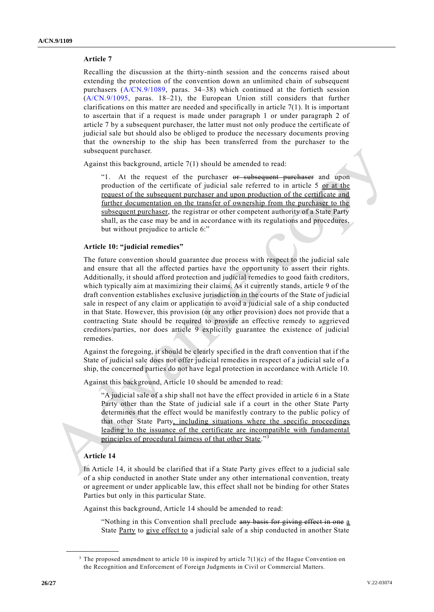## **Article 7**

Recalling the discussion at the thirty-ninth session and the concerns raised about extending the protection of the convention down an unlimited chain of subsequent purchasers [\(A/CN.9/1089,](http://undocs.org/A/CN.9/1089) paras. 34–38) which continued at the fortieth session [\(A/CN.9/1095,](http://undocs.org/A/CN.9/1095) paras. 18–21), the European Union still considers that further clarifications on this matter are needed and specifically in article  $7(1)$ . It is important to ascertain that if a request is made under paragraph 1 or under paragraph 2 of article 7 by a subsequent purchaser, the latter must not only produce the certificate of judicial sale but should also be obliged to produce the necessary documents proving that the ownership to the ship has been transferred from the purchaser to the subsequent purchaser.

Against this background, article 7(1) should be amended to read:

"1. At the request of the purchaser or subsequent purchaser and upon production of the certificate of judicial sale referred to in article 5 or at the request of the subsequent purchaser and upon production of the certificate and further documentation on the transfer of ownership from the purchaser to the subsequent purchaser, the registrar or other competent authority of a State Party shall, as the case may be and in accordance with its regulations and procedures, but without prejudice to article 6:"

### **Article 10: "judicial remedies"**

The future convention should guarantee due process with respect to the judicial sale and ensure that all the affected parties have the opportunity to assert their rights. Additionally, it should afford protection and judicial remedies to good faith creditors, which typically aim at maximizing their claims. As it currently stands, article 9 of the draft convention establishes exclusive jurisdiction in the courts of the State of judicial sale in respect of any claim or application to avoid a judicial sale of a ship conducted in that State. However, this provision (or any other provision) does not provide that a contracting State should be required to provide an effective remedy to aggrieved creditors/parties, nor does article 9 explicitly guarantee the existence of judicial remedies.

Against the foregoing, it should be clearly specified in the draft convention that if the State of judicial sale does not offer judicial remedies in respect of a judicial sale of a ship, the concerned parties do not have legal protection in accordance with Article 10.

Against this background, Article 10 should be amended to read:

"A judicial sale of a ship shall not have the effect provided in article 6 in a State Party other than the State of judicial sale if a court in the other State Party determines that the effect would be manifestly contrary to the public policy of that other State Party, including situations where the specific proceedings leading to the issuance of the certificate are incompatible with fundamental principles of procedural fairness of that other State."<sup>3</sup>

### **Article 14**

**\_\_\_\_\_\_\_\_\_\_\_\_\_\_\_\_\_\_**

In Article 14, it should be clarified that if a State Party gives effect to a judicial sale of a ship conducted in another State under any other international convention, treaty or agreement or under applicable law, this effect shall not be binding for other States Parties but only in this particular State.

Against this background, Article 14 should be amended to read:

"Nothing in this Convention shall preclude any basis for giving effect in one a State Party to give effect to a judicial sale of a ship conducted in another State

<sup>&</sup>lt;sup>3</sup> The proposed amendment to article 10 is inspired by article  $7(1)(c)$  of the Hague Convention on the Recognition and Enforcement of Foreign Judgments in Civil or Commercial Matters.